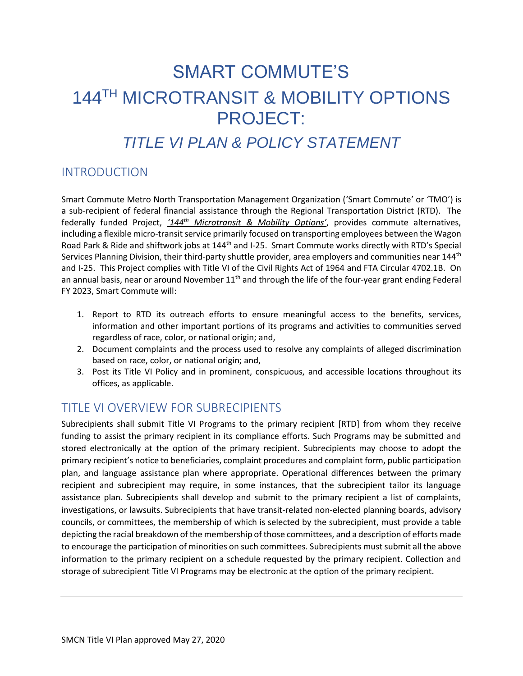# SMART COMMUTE'S 144TH MICROTRANSIT & MOBILITY OPTIONS PROJECT:

# *TITLE VI PLAN & POLICY STATEMENT*

# INTRODUCTION

Smart Commute Metro North Transportation Management Organization ('Smart Commute' or 'TMO') is a sub-recipient of federal financial assistance through the Regional Transportation District (RTD). The federally funded Project, *'144th Microtransit & Mobility Options'*, provides commute alternatives, including a flexible micro-transit service primarily focused on transporting employees between the Wagon Road Park & Ride and shiftwork jobs at 144th and I-25. Smart Commute works directly with RTD's Special Services Planning Division, their third-party shuttle provider, area employers and communities near 144<sup>th</sup> and I-25. This Project complies with Title VI of the Civil Rights Act of 1964 and FTA Circular 4702.1B. On an annual basis, near or around November  $11<sup>th</sup>$  and through the life of the four-year grant ending Federal FY 2023, Smart Commute will:

- 1. Report to RTD its outreach efforts to ensure meaningful access to the benefits, services, information and other important portions of its programs and activities to communities served regardless of race, color, or national origin; and,
- 2. Document complaints and the process used to resolve any complaints of alleged discrimination based on race, color, or national origin; and,
- 3. Post its Title VI Policy and in prominent, conspicuous, and accessible locations throughout its offices, as applicable.

# TITLE VI OVERVIEW FOR SUBRECIPIENTS

Subrecipients shall submit Title VI Programs to the primary recipient [RTD] from whom they receive funding to assist the primary recipient in its compliance efforts. Such Programs may be submitted and stored electronically at the option of the primary recipient. Subrecipients may choose to adopt the primary recipient's notice to beneficiaries, complaint procedures and complaint form, public participation plan, and language assistance plan where appropriate. Operational differences between the primary recipient and subrecipient may require, in some instances, that the subrecipient tailor its language assistance plan. Subrecipients shall develop and submit to the primary recipient a list of complaints, investigations, or lawsuits. Subrecipients that have transit-related non-elected planning boards, advisory councils, or committees, the membership of which is selected by the subrecipient, must provide a table depicting the racial breakdown of the membership of those committees, and a description of efforts made to encourage the participation of minorities on such committees. Subrecipients must submit all the above information to the primary recipient on a schedule requested by the primary recipient. Collection and storage of subrecipient Title VI Programs may be electronic at the option of the primary recipient.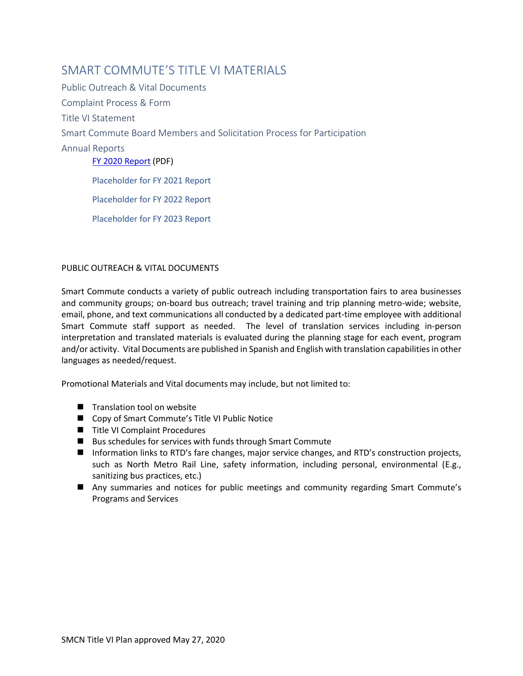### <span id="page-1-1"></span>SMART COMMUTE'S TITLE VLMATERIALS

Public Outreach & Vital Documents [Complaint Process & Form](#page-1-0) Title VI Statement [Smart](https://www.rtd-denver.com/sites/default/files/files/2020-02/2018-service-equity-analysis-january.pdf) Commute Board Members and Solicitation Process for Participation Annual Reports [FY 2020 Report](https://smartcommutemetronorth.org/wp-content/uploads/2021/09/Smart-Commute-Title-VI-Report-Nov-2019-through-Dec-2020-1.pdf) (PDF) Placeholder for FY 2021 Report Placeholder for FY 2022 Report

Placeholder for FY 2023 Report

#### <span id="page-1-0"></span>PUBLIC OUTREACH & VITAL DOCUMENTS

Smart Commute conducts a variety of public outreach including transportation fairs to area businesses and community groups; on-board bus outreach; travel training and trip planning metro-wide; website, email, phone, and text communications all conducted by a dedicated part-time employee with additional Smart Commute staff support as needed. The level of translation services including in-person interpretation and translated materials is evaluated during the planning stage for each event, program and/or activity. Vital Documents are published in Spanish and English with translation capabilities in other languages as needed/request.

Promotional Materials and Vital documents may include, but not limited to:

- Translation tool on website
- Copy of Smart Commute's Title VI Public Notice
- Title VI Complaint Procedures
- Bus schedules for services with funds through Smart Commute
- Information links to RTD's fare changes, major service changes, and RTD's construction projects, such as North Metro Rail Line, safety information, including personal, environmental (E.g., sanitizing bus practices, etc.)
- Any summaries and notices for public meetings and community regarding Smart Commute's Programs and Services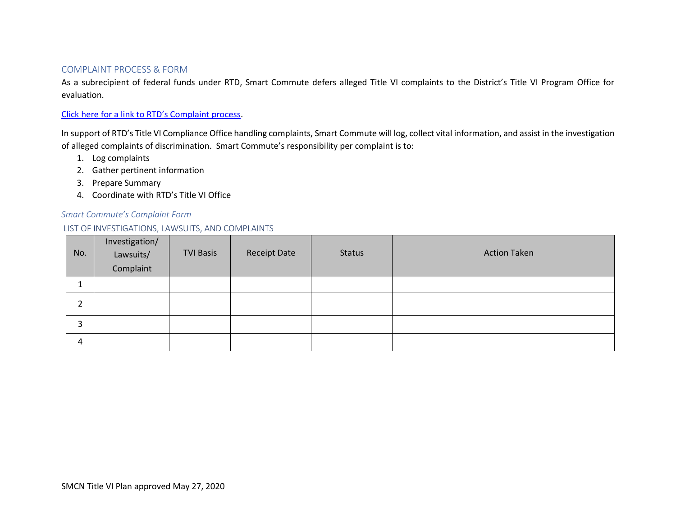#### [COMPLAINT PROCESS & FORM](#page-1-1)

As a subrecipient of federal funds under RTD, Smart Commute defers alleged Title VI complaints to the District's Title VI Program Office for evaluation.

#### Click here for a link to [RTD's Complaint process](https://www.rtd-denver.com/reports-and-policies/title-vi-policy#:~:text=Overview%20of%20Title%20VI%20RTD%27s%20Title%20VI%20Policy,VI%20of%20the%20Civil%20Rights%20Act%20of%201964.).

In support of RTD's Title VI Compliance Office handling complaints, Smart Commute will log, collect vital information, and assist in the investigation of alleged complaints of discrimination. Smart Commute's responsibility per complaint is to:

- 1. Log complaints
- 2. Gather pertinent information
- 3. Prepare Summary
- 4. Coordinate with RTD's Title VI Office

#### *Smart Commute's Complaint Form*

#### LIST OF INVESTIGATIONS, LAWSUITS, AND COMPLAINTS

| No. | Investigation/<br>Lawsuits/<br>Complaint | <b>TVI Basis</b> | <b>Receipt Date</b> | <b>Status</b> | <b>Action Taken</b> |
|-----|------------------------------------------|------------------|---------------------|---------------|---------------------|
|     |                                          |                  |                     |               |                     |
|     |                                          |                  |                     |               |                     |
| 3   |                                          |                  |                     |               |                     |
| 4   |                                          |                  |                     |               |                     |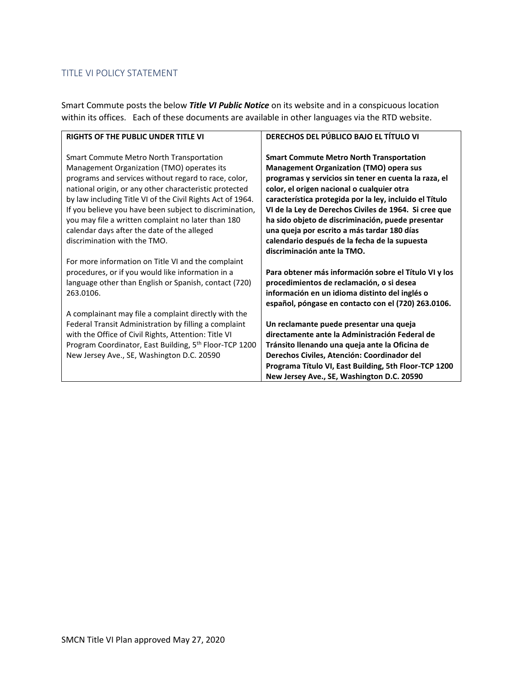#### TITLE VI POLICY STATEMENT

Smart Commute posts the below *Title VI Public Notice* on its website and in a conspicuous location within its offices. Each of these documents are available in other languages via the RTD website.

| <b>RIGHTS OF THE PUBLIC UNDER TITLE VI</b>                                                                                                                                                                                                                                                                                                                                                                                                                                    | DERECHOS DEL PÚBLICO BAJO EL TÍTULO VI                                                                                                                                                                                                                                                                                                                                                                                                                                                                           |
|-------------------------------------------------------------------------------------------------------------------------------------------------------------------------------------------------------------------------------------------------------------------------------------------------------------------------------------------------------------------------------------------------------------------------------------------------------------------------------|------------------------------------------------------------------------------------------------------------------------------------------------------------------------------------------------------------------------------------------------------------------------------------------------------------------------------------------------------------------------------------------------------------------------------------------------------------------------------------------------------------------|
| <b>Smart Commute Metro North Transportation</b><br>Management Organization (TMO) operates its<br>programs and services without regard to race, color,<br>national origin, or any other characteristic protected<br>by law including Title VI of the Civil Rights Act of 1964.<br>If you believe you have been subject to discrimination,<br>you may file a written complaint no later than 180<br>calendar days after the date of the alleged<br>discrimination with the TMO. | <b>Smart Commute Metro North Transportation</b><br><b>Management Organization (TMO) opera sus</b><br>programas y servicios sin tener en cuenta la raza, el<br>color, el origen nacional o cualquier otra<br>característica protegida por la ley, incluido el Título<br>VI de la Ley de Derechos Civiles de 1964. Si cree que<br>ha sido objeto de discriminación, puede presentar<br>una queja por escrito a más tardar 180 días<br>calendario después de la fecha de la supuesta<br>discriminación ante la TMO. |
| For more information on Title VI and the complaint<br>procedures, or if you would like information in a<br>language other than English or Spanish, contact (720)<br>263.0106.                                                                                                                                                                                                                                                                                                 | Para obtener más información sobre el Título VI y los<br>procedimientos de reclamación, o si desea<br>información en un idioma distinto del inglés o<br>español, póngase en contacto con el (720) 263.0106.                                                                                                                                                                                                                                                                                                      |
| A complainant may file a complaint directly with the<br>Federal Transit Administration by filling a complaint<br>with the Office of Civil Rights, Attention: Title VI<br>Program Coordinator, East Building, 5 <sup>th</sup> Floor-TCP 1200<br>New Jersey Ave., SE, Washington D.C. 20590                                                                                                                                                                                     | Un reclamante puede presentar una queja<br>directamente ante la Administración Federal de<br>Tránsito llenando una queja ante la Oficina de<br>Derechos Civiles, Atención: Coordinador del<br>Programa Título VI, East Building, 5th Floor-TCP 1200<br>New Jersey Ave., SE, Washington D.C. 20590                                                                                                                                                                                                                |